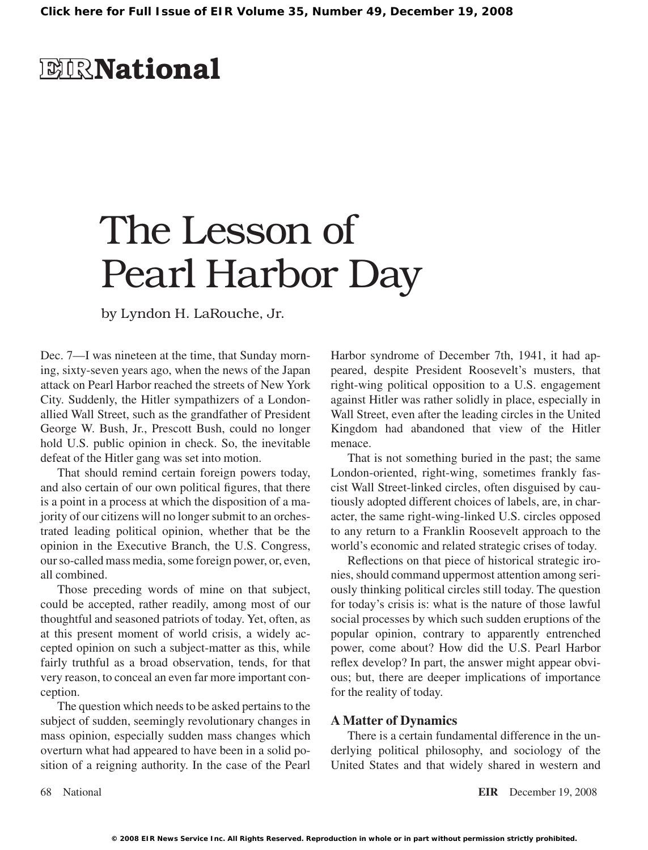## **EIR**National

# The Lesson of Pearl Harbor Day

by Lyndon H. LaRouche, Jr.

Dec. 7—I was nineteen at the time, that Sunday morning, sixty-seven years ago, when the news of the Japan attack on Pearl Harbor reached the streets of New York City. Suddenly, the Hitler sympathizers of a Londonallied Wall Street, such as the grandfather of President George W. Bush, Jr., Prescott Bush, could no longer hold U.S. public opinion in check. So, the inevitable defeat of the Hitler gang was set into motion.

That should remind certain foreign powers today, and also certain of our own political figures, that there is a point in a process at which the disposition of a majority of our citizens will no longer submit to an orchestrated leading political opinion, whether that be the opinion in the Executive Branch, the U.S. Congress, our so-called mass media, some foreign power, or, even, all combined.

Those preceding words of mine on that subject, could be accepted, rather readily, among most of our thoughtful and seasoned patriots of today. Yet, often, as at this present moment of world crisis, a widely accepted opinion on such a subject-matter as this, while fairly truthful as a broad observation, tends, for that very reason, to conceal an even far more important conception.

The question which needs to be asked pertains to the subject of sudden, seemingly revolutionary changes in mass opinion, especially sudden mass changes which overturn what had appeared to have been in a solid position of a reigning authority. In the case of the Pearl

Harbor syndrome of December 7th, 1941, it had appeared, despite President Roosevelt's musters, that right-wing political opposition to a U.S. engagement against Hitler was rather solidly in place, especially in Wall Street, even after the leading circles in the United Kingdom had abandoned that view of the Hitler menace.

That is not something buried in the past; the same London-oriented, right-wing, sometimes frankly fascist Wall Street-linked circles, often disguised by cautiously adopted different choices of labels, are, in character, the same right-wing-linked U.S. circles opposed to any return to a Franklin Roosevelt approach to the world's economic and related strategic crises of today.

Reflections on that piece of historical strategic ironies, should command uppermost attention among seriously thinking political circles still today. The question for today's crisis is: what is the nature of those lawful social processes by which such sudden eruptions of the popular opinion, contrary to apparently entrenched power, come about? How did the U.S. Pearl Harbor reflex develop? In part, the answer might appear obvious; but, there are deeper implications of importance for the reality of today.

### **A Matter of Dynamics**

There is a certain fundamental difference in the underlying political philosophy, and sociology of the United States and that widely shared in western and

68 National **EIR** December 19, 2008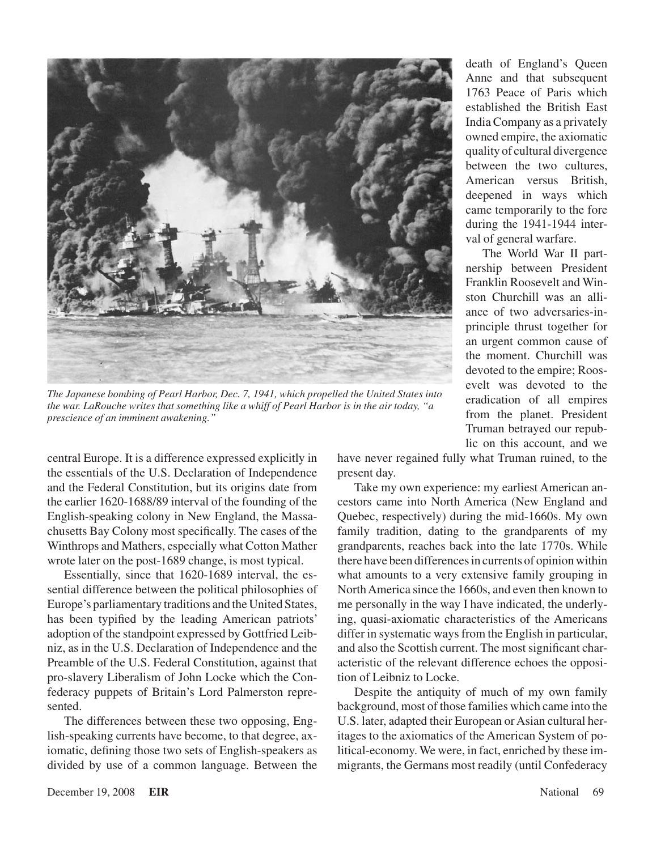

*The Japanese bombing of Pearl Harbor, Dec. 7, 1941, which propelled the United States into the war. LaRouche writes that something like a whiff of Pearl Harbor is in the air today, "a prescience of an imminent awakening."*

central Europe. It is a difference expressed explicitly in the essentials of the U.S. Declaration of Independence and the Federal Constitution, but its origins date from the earlier 1620-1688/89 interval of the founding of the English-speaking colony in New England, the Massachusetts Bay Colony most specifically. The cases of the Winthrops and Mathers, especially what Cotton Mather wrote later on the post-1689 change, is most typical.

Essentially, since that 1620-1689 interval, the essential difference between the political philosophies of Europe's parliamentary traditions and the United States, has been typified by the leading American patriots' adoption of the standpoint expressed by Gottfried Leibniz, as in the U.S. Declaration of Independence and the Preamble of the U.S. Federal Constitution, against that pro-slavery Liberalism of John Locke which the Confederacy puppets of Britain's Lord Palmerston represented.

The differences between these two opposing, English-speaking currents have become, to that degree, axiomatic, defining those two sets of English-speakers as divided by use of a common language. Between the

death of England's Queen Anne and that subsequent 1763 Peace of Paris which established the British East India Company as a privately owned empire, the axiomatic quality of cultural divergence between the two cultures, American versus British, deepened in ways which came temporarily to the fore during the 1941-1944 interval of general warfare.

The World War II partnership between President Franklin Roosevelt and Winston Churchill was an alliance of two adversaries-inprinciple thrust together for an urgent common cause of the moment. Churchill was devoted to the empire; Roosevelt was devoted to the eradication of all empires from the planet. President Truman betrayed our republic on this account, and we

have never regained fully what Truman ruined, to the present day.

Take my own experience: my earliest American ancestors came into North America (New England and Quebec, respectively) during the mid-1660s. My own family tradition, dating to the grandparents of my grandparents, reaches back into the late 1770s. While there have been differences in currents of opinion within what amounts to a very extensive family grouping in NorthAmerica since the 1660s, and even then known to me personally in the way I have indicated, the underlying, quasi-axiomatic characteristics of the Americans differ in systematic ways from the English in particular, and also the Scottish current. The most significant characteristic of the relevant difference echoes the opposition of Leibniz to Locke.

Despite the antiquity of much of my own family background, most of those families which came into the U.S. later, adapted their European or Asian cultural heritages to the axiomatics of the American System of political-economy. We were, in fact, enriched by these immigrants, the Germans most readily (until Confederacy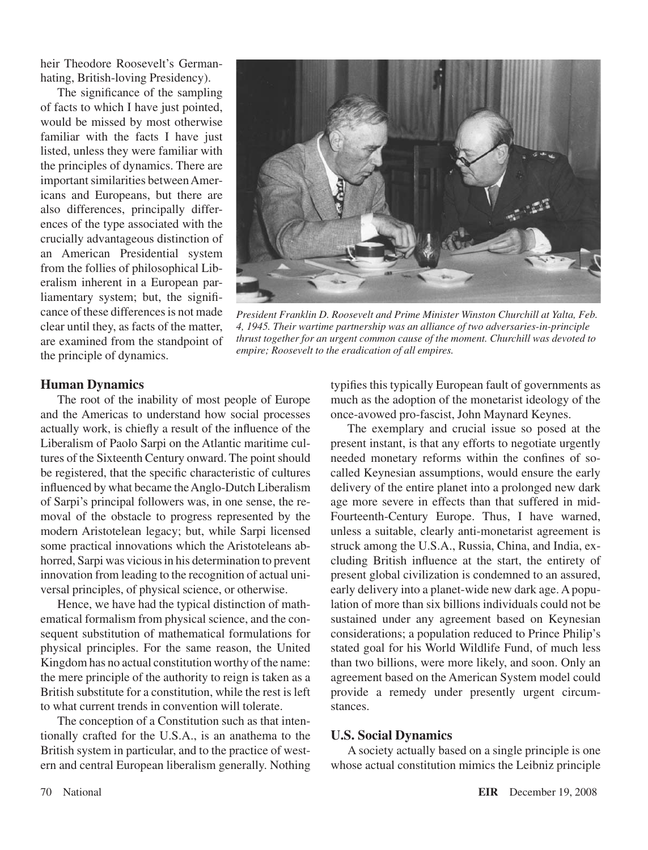heir Theodore Roosevelt's Germanhating, British-loving Presidency).

The significance of the sampling of facts to which I have just pointed, would be missed by most otherwise familiar with the facts I have just listed, unless they were familiar with the principles of dynamics. There are important similarities between Americans and Europeans, but there are also differences, principally differences of the type associated with the crucially advantageous distinction of an American Presidential system from the follies of philosophical Liberalism inherent in a European parliamentary system; but, the significance of these differences is not made clear until they, as facts of the matter, are examined from the standpoint of the principle of dynamics.



*President Franklin D. Roosevelt and Prime Minister Winston Churchill at Yalta, Feb. 4, 1945. Their wartime partnership was an alliance of two adversaries-in-principle thrust together for an urgent common cause of the moment. Churchill was devoted to empire; Roosevelt to the eradication of all empires.*

#### **Human Dynamics**

The root of the inability of most people of Europe and the Americas to understand how social processes actually work, is chiefly a result of the influence of the Liberalism of Paolo Sarpi on the Atlantic maritime cultures of the Sixteenth Century onward. The point should be registered, that the specific characteristic of cultures influenced by what became theAnglo-Dutch Liberalism of Sarpi's principal followers was, in one sense, the removal of the obstacle to progress represented by the modern Aristotelean legacy; but, while Sarpi licensed some practical innovations which the Aristoteleans abhorred, Sarpi was vicious in his determination to prevent innovation from leading to the recognition of actual universal principles, of physical science, or otherwise.

Hence, we have had the typical distinction of mathematical formalism from physical science, and the consequent substitution of mathematical formulations for physical principles. For the same reason, the United Kingdom has no actual constitution worthy of the name: the mere principle of the authority to reign is taken as a British substitute for a constitution, while the rest is left to what current trends in convention will tolerate.

The conception of a Constitution such as that intentionally crafted for the U.S.A., is an anathema to the British system in particular, and to the practice of western and central European liberalism generally. Nothing typifies this typically European fault of governments as much as the adoption of the monetarist ideology of the once-avowed pro-fascist, John Maynard Keynes.

The exemplary and crucial issue so posed at the present instant, is that any efforts to negotiate urgently needed monetary reforms within the confines of socalled Keynesian assumptions, would ensure the early delivery of the entire planet into a prolonged new dark age more severe in effects than that suffered in mid-Fourteenth-Century Europe. Thus, I have warned, unless a suitable, clearly anti-monetarist agreement is struck among the U.S.A., Russia, China, and India, excluding British influence at the start, the entirety of present global civilization is condemned to an assured, early delivery into a planet-wide new dark age. A population of more than six billions individuals could not be sustained under any agreement based on Keynesian considerations; a population reduced to Prince Philip's stated goal for his World Wildlife Fund, of much less than two billions, were more likely, and soon. Only an agreement based on the American System model could provide a remedy under presently urgent circumstances.

#### **U.S. Social Dynamics**

A society actually based on a single principle is one whose actual constitution mimics the Leibniz principle